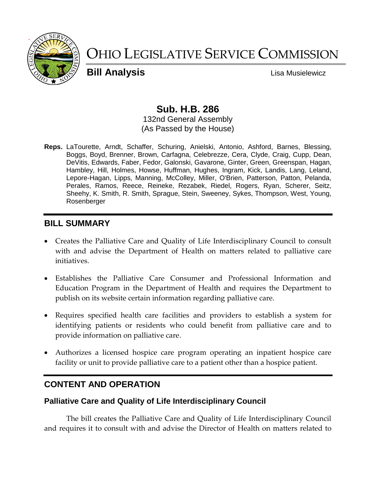

# OHIO LEGISLATIVE SERVICE COMMISSION

**Bill Analysis Lisa Musielewicz** 

# **Sub. H.B. 286**

132nd General Assembly (As Passed by the House)

**Reps.** LaTourette, Arndt, Schaffer, Schuring, Anielski, Antonio, Ashford, Barnes, Blessing, Boggs, Boyd, Brenner, Brown, Carfagna, Celebrezze, Cera, Clyde, Craig, Cupp, Dean, DeVitis, Edwards, Faber, Fedor, Galonski, Gavarone, Ginter, Green, Greenspan, Hagan, Hambley, Hill, Holmes, Howse, Huffman, Hughes, Ingram, Kick, Landis, Lang, Leland, Lepore-Hagan, Lipps, Manning, McColley, Miller, O'Brien, Patterson, Patton, Pelanda, Perales, Ramos, Reece, Reineke, Rezabek, Riedel, Rogers, Ryan, Scherer, Seitz, Sheehy, K. Smith, R. Smith, Sprague, Stein, Sweeney, Sykes, Thompson, West, Young, Rosenberger

# **BILL SUMMARY**

- Creates the Palliative Care and Quality of Life Interdisciplinary Council to consult with and advise the Department of Health on matters related to palliative care initiatives.
- Establishes the Palliative Care Consumer and Professional Information and Education Program in the Department of Health and requires the Department to publish on its website certain information regarding palliative care.
- Requires specified health care facilities and providers to establish a system for identifying patients or residents who could benefit from palliative care and to provide information on palliative care.
- Authorizes a licensed hospice care program operating an inpatient hospice care facility or unit to provide palliative care to a patient other than a hospice patient.

# **CONTENT AND OPERATION**

## **Palliative Care and Quality of Life Interdisciplinary Council**

The bill creates the Palliative Care and Quality of Life Interdisciplinary Council and requires it to consult with and advise the Director of Health on matters related to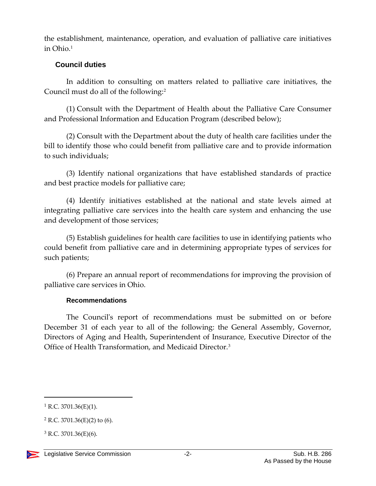the establishment, maintenance, operation, and evaluation of palliative care initiatives in Ohio.<sup>1</sup>

#### **Council duties**

In addition to consulting on matters related to palliative care initiatives, the Council must do all of the following:<sup>2</sup>

(1) Consult with the Department of Health about the Palliative Care Consumer and Professional Information and Education Program (described below);

(2) Consult with the Department about the duty of health care facilities under the bill to identify those who could benefit from palliative care and to provide information to such individuals;

(3) Identify national organizations that have established standards of practice and best practice models for palliative care;

(4) Identify initiatives established at the national and state levels aimed at integrating palliative care services into the health care system and enhancing the use and development of those services;

(5) Establish guidelines for health care facilities to use in identifying patients who could benefit from palliative care and in determining appropriate types of services for such patients;

(6) Prepare an annual report of recommendations for improving the provision of palliative care services in Ohio.

#### **Recommendations**

The Council's report of recommendations must be submitted on or before December 31 of each year to all of the following: the General Assembly, Governor, Directors of Aging and Health, Superintendent of Insurance, Executive Director of the Office of Health Transformation, and Medicaid Director.<sup>3</sup>

 $\overline{a}$ 

<sup>&</sup>lt;sup>1</sup> R.C. 3701.36(E)(1).

 $2$  R.C. 3701.36(E)(2) to (6).

 $3$  R.C. 3701.36(E)(6).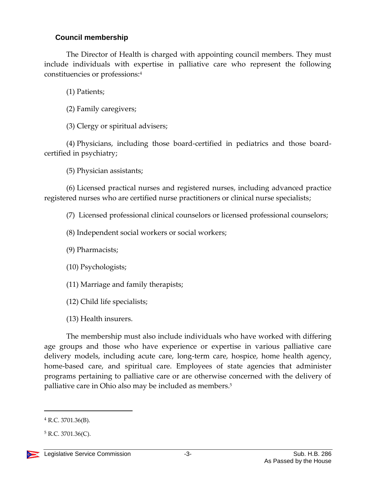## **Council membership**

The Director of Health is charged with appointing council members. They must include individuals with expertise in palliative care who represent the following constituencies or professions:<sup>4</sup>

(1) Patients;

(2) Family caregivers;

(3) Clergy or spiritual advisers;

(4) Physicians, including those board-certified in pediatrics and those boardcertified in psychiatry;

(5) Physician assistants;

(6) Licensed practical nurses and registered nurses, including advanced practice registered nurses who are certified nurse practitioners or clinical nurse specialists;

(7) Licensed professional clinical counselors or licensed professional counselors;

(8) Independent social workers or social workers;

(9) Pharmacists;

(10) Psychologists;

(11) Marriage and family therapists;

(12) Child life specialists;

(13) Health insurers.

The membership must also include individuals who have worked with differing age groups and those who have experience or expertise in various palliative care delivery models, including acute care, long-term care, hospice, home health agency, home-based care, and spiritual care. Employees of state agencies that administer programs pertaining to palliative care or are otherwise concerned with the delivery of palliative care in Ohio also may be included as members.<sup>5</sup>

 $5$  R.C. 3701.36(C).



 $\overline{a}$ 

 $4$  R.C. 3701.36(B).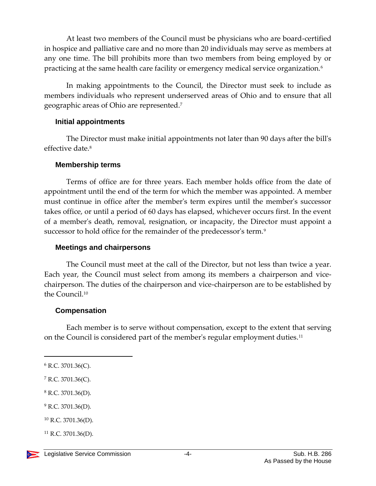At least two members of the Council must be physicians who are board-certified in hospice and palliative care and no more than 20 individuals may serve as members at any one time. The bill prohibits more than two members from being employed by or practicing at the same health care facility or emergency medical service organization.<sup>6</sup>

In making appointments to the Council, the Director must seek to include as members individuals who represent underserved areas of Ohio and to ensure that all geographic areas of Ohio are represented.<sup>7</sup>

#### **Initial appointments**

The Director must make initial appointments not later than 90 days after the bill's effective date.<sup>8</sup>

#### **Membership terms**

Terms of office are for three years. Each member holds office from the date of appointment until the end of the term for which the member was appointed. A member must continue in office after the member's term expires until the member's successor takes office, or until a period of 60 days has elapsed, whichever occurs first. In the event of a member's death, removal, resignation, or incapacity, the Director must appoint a successor to hold office for the remainder of the predecessor's term.<sup>9</sup>

#### **Meetings and chairpersons**

The Council must meet at the call of the Director, but not less than twice a year. Each year, the Council must select from among its members a chairperson and vicechairperson. The duties of the chairperson and vice-chairperson are to be established by the Council.<sup>10</sup>

#### **Compensation**

Each member is to serve without compensation, except to the extent that serving on the Council is considered part of the member's regular employment duties.<sup>11</sup>

 $\overline{a}$ 

 $8$  R.C. 3701.36(D).

 $^{9}$  R.C. 3701.36(D).

<sup>6</sup> R.C. 3701.36(C).

 $7$  R.C. 3701.36(C).

 $10$  R.C. 3701.36(D).

 $11$  R.C. 3701.36(D).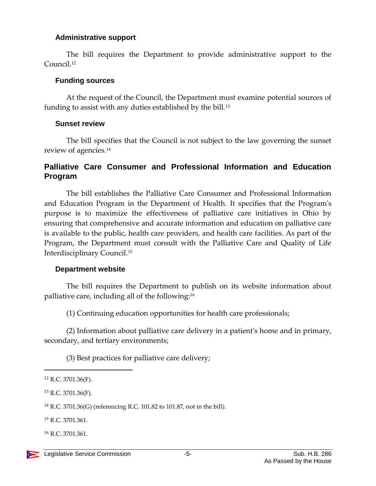#### **Administrative support**

The bill requires the Department to provide administrative support to the Council. 12

#### **Funding sources**

At the request of the Council, the Department must examine potential sources of funding to assist with any duties established by the bill.<sup>13</sup>

#### **Sunset review**

The bill specifies that the Council is not subject to the law governing the sunset review of agencies.<sup>14</sup>

## **Palliative Care Consumer and Professional Information and Education Program**

The bill establishes the Palliative Care Consumer and Professional Information and Education Program in the Department of Health. It specifies that the Program's purpose is to maximize the effectiveness of palliative care initiatives in Ohio by ensuring that comprehensive and accurate information and education on palliative care is available to the public, health care providers, and health care facilities. As part of the Program, the Department must consult with the Palliative Care and Quality of Life Interdisciplinary Council.<sup>15</sup>

#### **Department website**

The bill requires the Department to publish on its website information about palliative care, including all of the following:<sup>16</sup>

(1) Continuing education opportunities for health care professionals;

(2) Information about palliative care delivery in a patient's home and in primary, secondary, and tertiary environments;

(3) Best practices for palliative care delivery;

 $\overline{a}$ 

<sup>15</sup> R.C. 3701.361.

<sup>16</sup> R.C. 3701.361.

<sup>12</sup> R.C. 3701.36(F).

<sup>13</sup> R.C. 3701.36(F).

<sup>14</sup> R.C. 3701.36(G) (referencing R.C. 101.82 to 101.87, not in the bill).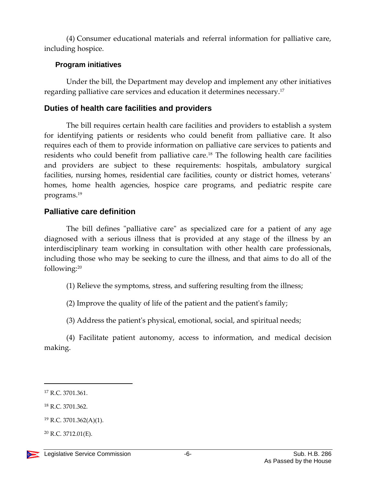(4) Consumer educational materials and referral information for palliative care, including hospice.

#### **Program initiatives**

Under the bill, the Department may develop and implement any other initiatives regarding palliative care services and education it determines necessary.<sup>17</sup>

# **Duties of health care facilities and providers**

The bill requires certain health care facilities and providers to establish a system for identifying patients or residents who could benefit from palliative care. It also requires each of them to provide information on palliative care services to patients and residents who could benefit from palliative care. <sup>18</sup> The following health care facilities and providers are subject to these requirements: hospitals, ambulatory surgical facilities, nursing homes, residential care facilities, county or district homes, veterans' homes, home health agencies, hospice care programs, and pediatric respite care programs.<sup>19</sup>

# **Palliative care definition**

The bill defines "palliative care" as specialized care for a patient of any age diagnosed with a serious illness that is provided at any stage of the illness by an interdisciplinary team working in consultation with other health care professionals, including those who may be seeking to cure the illness, and that aims to do all of the following:<sup>20</sup>

(1) Relieve the symptoms, stress, and suffering resulting from the illness;

(2) Improve the quality of life of the patient and the patient's family;

(3) Address the patient's physical, emotional, social, and spiritual needs;

(4) Facilitate patient autonomy, access to information, and medical decision making.

 $\overline{a}$ 

<sup>&</sup>lt;sup>17</sup> R.C. 3701.361.

<sup>18</sup> R.C. 3701.362.

<sup>19</sup> R.C. 3701.362(A)(1).

<sup>20</sup> R.C. 3712.01(E).